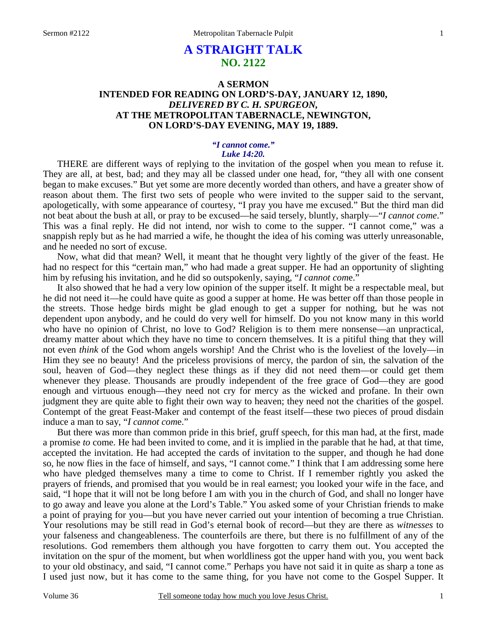# **A STRAIGHT TALK NO. 2122**

### **A SERMON INTENDED FOR READING ON LORD'S-DAY, JANUARY 12, 1890,**  *DELIVERED BY C. H. SPURGEON,*  **AT THE METROPOLITAN TABERNACLE, NEWINGTON, ON LORD'S-DAY EVENING, MAY 19, 1889.**

#### *"I cannot come." Luke 14:20.*

 THERE are different ways of replying to the invitation of the gospel when you mean to refuse it. They are all, at best, bad; and they may all be classed under one head, for, "they all with one consent began to make excuses." But yet some are more decently worded than others, and have a greater show of reason about them. The first two sets of people who were invited to the supper said to the servant, apologetically, with some appearance of courtesy, "I pray you have me excused." But the third man did not beat about the bush at all, or pray to be excused—he said tersely, bluntly, sharply—"*I cannot come*." This was a final reply. He did not intend, nor wish to come to the supper. "I cannot come," was a snappish reply but as he had married a wife, he thought the idea of his coming was utterly unreasonable, and he needed no sort of excuse.

 Now, what did that mean? Well, it meant that he thought very lightly of the giver of the feast. He had no respect for this "certain man," who had made a great supper. He had an opportunity of slighting him by refusing his invitation, and he did so outspokenly, saying, "*I cannot com*e."

 It also showed that he had a very low opinion of the supper itself. It might be a respectable meal, but he did not need it—he could have quite as good a supper at home. He was better off than those people in the streets. Those hedge birds might be glad enough to get a supper for nothing, but he was not dependent upon anybody, and he could do very well for himself. Do you not know many in this world who have no opinion of Christ, no love to God? Religion is to them mere nonsense—an unpractical, dreamy matter about which they have no time to concern themselves. It is a pitiful thing that they will not even *think* of the God whom angels worship! And the Christ who is the loveliest of the lovely—in Him they see no beauty! And the priceless provisions of mercy, the pardon of sin, the salvation of the soul, heaven of God—they neglect these things as if they did not need them—or could get them whenever they please. Thousands are proudly independent of the free grace of God—they are good enough and virtuous enough—they need not cry for mercy as the wicked and profane. In their own judgment they are quite able to fight their own way to heaven; they need not the charities of the gospel. Contempt of the great Feast-Maker and contempt of the feast itself—these two pieces of proud disdain induce a man to say, "*I cannot com*e."

 But there was more than common pride in this brief, gruff speech, for this man had, at the first, made a promise *to* come. He had been invited to come, and it is implied in the parable that he had, at that time, accepted the invitation. He had accepted the cards of invitation to the supper, and though he had done so, he now flies in the face of himself, and says, "I cannot come." I think that I am addressing some here who have pledged themselves many a time to come to Christ. If I remember rightly you asked the prayers of friends, and promised that you would be in real earnest; you looked your wife in the face, and said, "I hope that it will not be long before I am with you in the church of God, and shall no longer have to go away and leave you alone at the Lord's Table." You asked some of your Christian friends to make a point of praying for you—but you have never carried out your intention of becoming a true Christian. Your resolutions may be still read in God's eternal book of record—but they are there as *witnesses* to your falseness and changeableness. The counterfoils are there, but there is no fulfillment of any of the resolutions. God remembers them although you have forgotten to carry them out. You accepted the invitation on the spur of the moment, but when worldliness got the upper hand with you, you went back to your old obstinacy, and said, "I cannot come." Perhaps you have not said it in quite as sharp a tone as I used just now, but it has come to the same thing, for you have not come to the Gospel Supper. It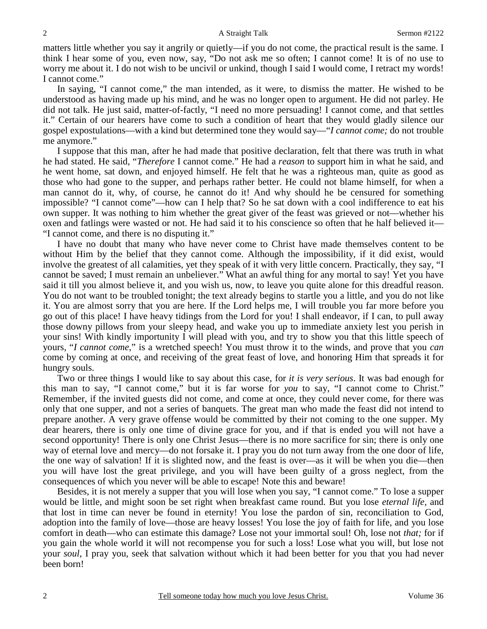matters little whether you say it angrily or quietly—if you do not come, the practical result is the same. I think I hear some of you, even now, say, "Do not ask me so often; I cannot come! It is of no use to worry me about it. I do not wish to be uncivil or unkind, though I said I would come, I retract my words! I cannot come."

 In saying, "I cannot come," the man intended, as it were, to dismiss the matter. He wished to be understood as having made up his mind, and he was no longer open to argument. He did not parley. He did not talk. He just said, matter-of-factly, "I need no more persuading! I cannot come, and that settles it." Certain of our hearers have come to such a condition of heart that they would gladly silence our gospel expostulations—with a kind but determined tone they would say—"*I cannot come;* do not trouble me anymore."

 I suppose that this man, after he had made that positive declaration, felt that there was truth in what he had stated. He said, "*Therefore* I cannot come." He had a *reason* to support him in what he said, and he went home, sat down, and enjoyed himself. He felt that he was a righteous man, quite as good as those who had gone to the supper, and perhaps rather better. He could not blame himself, for when a man cannot do it, why, of course, he cannot do it! And why should he be censured for something impossible? "I cannot come"—how can I help that? So he sat down with a cool indifference to eat his own supper. It was nothing to him whether the great giver of the feast was grieved or not—whether his oxen and fatlings were wasted or not. He had said it to his conscience so often that he half believed it— "I cannot come, and there is no disputing it."

 I have no doubt that many who have never come to Christ have made themselves content to be without Him by the belief that they cannot come. Although the impossibility, if it did exist, would involve the greatest of all calamities, yet they speak of it with very little concern. Practically, they say, "I cannot be saved; I must remain an unbeliever." What an awful thing for any mortal to say! Yet you have said it till you almost believe it, and you wish us, now, to leave you quite alone for this dreadful reason. You do not want to be troubled tonight; the text already begins to startle you a little, and you do not like it. You are almost sorry that you are here. If the Lord helps me, I will trouble you far more before you go out of this place! I have heavy tidings from the Lord for you! I shall endeavor, if I can, to pull away those downy pillows from your sleepy head, and wake you up to immediate anxiety lest you perish in your sins! With kindly importunity I will plead with you, and try to show you that this little speech of yours, "*I cannot come*," is a wretched speech! You must throw it to the winds, and prove that you *can* come by coming at once, and receiving of the great feast of love, and honoring Him that spreads it for hungry souls.

 Two or three things I would like to say about this case, for *it is very serious*. It was bad enough for this man to say, "I cannot come," but it is far worse for *you* to say, "I cannot come to Christ." Remember, if the invited guests did not come, and come at once, they could never come, for there was only that one supper, and not a series of banquets. The great man who made the feast did not intend to prepare another. A very grave offense would be committed by their not coming to the one supper. My dear hearers, there is only one time of divine grace for you, and if that is ended you will not have a second opportunity! There is only one Christ Jesus—there is no more sacrifice for sin; there is only one way of eternal love and mercy—do not forsake it. I pray you do not turn away from the one door of life, the one way of salvation! If it is slighted now, and the feast is over—as it will be when you die—then you will have lost the great privilege, and you will have been guilty of a gross neglect, from the consequences of which you never will be able to escape! Note this and beware!

 Besides, it is not merely a supper that you will lose when you say, "I cannot come." To lose a supper would be little, and might soon be set right when breakfast came round. But you lose *eternal life,* and that lost in time can never be found in eternity! You lose the pardon of sin, reconciliation to God, adoption into the family of love—those are heavy losses! You lose the joy of faith for life, and you lose comfort in death—who can estimate this damage? Lose not your immortal soul! Oh, lose not *that;* for if you gain the whole world it will not recompense you for such a loss! Lose what you will, but lose not your *soul*, I pray you, seek that salvation without which it had been better for you that you had never been born!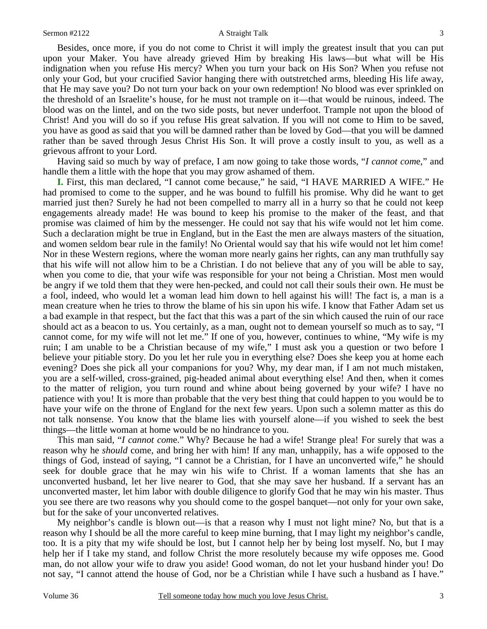Besides, once more, if you do not come to Christ it will imply the greatest insult that you can put upon your Maker. You have already grieved Him by breaking His laws—but what will be His indignation when you refuse His mercy? When you turn your back on His Son? When you refuse not only your God, but your crucified Savior hanging there with outstretched arms, bleeding His life away, that He may save you? Do not turn your back on your own redemption! No blood was ever sprinkled on the threshold of an Israelite's house, for he must not trample on it—that would be ruinous, indeed. The blood was on the lintel, and on the two side posts, but never underfoot. Trample not upon the blood of Christ! And you will do so if you refuse His great salvation. If you will not come to Him to be saved, you have as good as said that you will be damned rather than be loved by God—that you will be damned rather than be saved through Jesus Christ His Son. It will prove a costly insult to you, as well as a grievous affront to your Lord.

 Having said so much by way of preface, I am now going to take those words, "*I cannot com*e," and handle them a little with the hope that you may grow ashamed of them.

**I.** First, this man declared, "I cannot come because," he said, "I HAVE MARRIED A WIFE." He had promised to come to the supper, and he was bound to fulfill his promise. Why did he want to get married just then? Surely he had not been compelled to marry all in a hurry so that he could not keep engagements already made! He was bound to keep his promise to the maker of the feast, and that promise was claimed of him by the messenger. He could not say that his wife would not let him come. Such a declaration might be true in England, but in the East the men are always masters of the situation, and women seldom bear rule in the family! No Oriental would say that his wife would not let him come! Nor in these Western regions, where the woman more nearly gains her rights, can any man truthfully say that his wife will not allow him to be a Christian. I do not believe that any of you will be able to say, when you come to die, that your wife was responsible for your not being a Christian. Most men would be angry if we told them that they were hen-pecked, and could not call their souls their own. He must be a fool, indeed, who would let a woman lead him down to hell against his will! The fact is, a man is a mean creature when he tries to throw the blame of his sin upon his wife. I know that Father Adam set us a bad example in that respect, but the fact that this was a part of the sin which caused the ruin of our race should act as a beacon to us. You certainly, as a man, ought not to demean yourself so much as to say, "I cannot come, for my wife will not let me." If one of you, however, continues to whine, "My wife is my ruin; I am unable to be a Christian because of my wife," I must ask you a question or two before I believe your pitiable story. Do you let her rule you in everything else? Does she keep you at home each evening? Does she pick all your companions for you? Why, my dear man, if I am not much mistaken, you are a self-willed, cross-grained, pig-headed animal about everything else! And then, when it comes to the matter of religion, you turn round and whine about being governed by your wife? I have no patience with you! It is more than probable that the very best thing that could happen to you would be to have your wife on the throne of England for the next few years. Upon such a solemn matter as this do not talk nonsense. You know that the blame lies with yourself alone—if you wished to seek the best things—the little woman at home would be no hindrance to you.

 This man said, "*I cannot com*e." Why? Because he had a wife! Strange plea! For surely that was a reason why he *should* come, and bring her with him! If any man, unhappily, has a wife opposed to the things of God, instead of saying, "I cannot be a Christian, for I have an unconverted wife," he should seek for double grace that he may win his wife to Christ. If a woman laments that she has an unconverted husband, let her live nearer to God, that she may save her husband. If a servant has an unconverted master, let him labor with double diligence to glorify God that he may win his master. Thus you see there are two reasons why you should come to the gospel banquet—not only for your own sake, but for the sake of your unconverted relatives.

 My neighbor's candle is blown out—is that a reason why I must not light mine? No, but that is a reason why I should be all the more careful to keep mine burning, that I may light my neighbor's candle, too. It is a pity that my wife should be lost, but I cannot help her by being lost myself. No, but I may help her if I take my stand, and follow Christ the more resolutely because my wife opposes me. Good man, do not allow your wife to draw you aside! Good woman, do not let your husband hinder you! Do not say, "I cannot attend the house of God, nor be a Christian while I have such a husband as I have."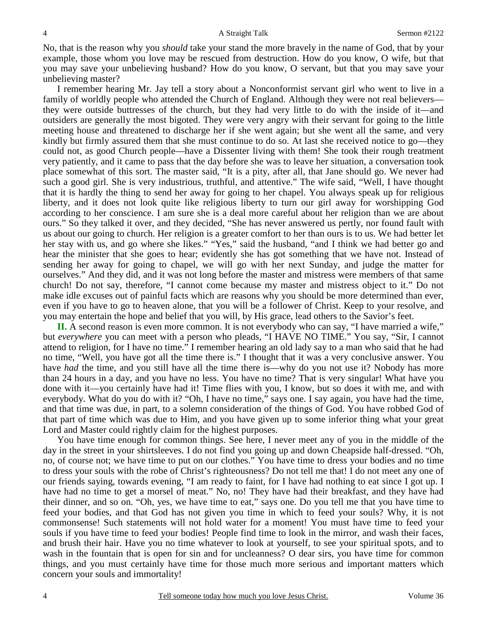No, that is the reason why you *should* take your stand the more bravely in the name of God, that by your example, those whom you love may be rescued from destruction. How do you know, O wife, but that you may save your unbelieving husband? How do you know, O servant, but that you may save your unbelieving master?

 I remember hearing Mr. Jay tell a story about a Nonconformist servant girl who went to live in a family of worldly people who attended the Church of England. Although they were not real believers they were outside buttresses of the church, but they had very little to do with the inside of it—and outsiders are generally the most bigoted. They were very angry with their servant for going to the little meeting house and threatened to discharge her if she went again; but she went all the same, and very kindly but firmly assured them that she must continue to do so. At last she received notice to go—they could not, as good Church people—have a Dissenter living with them! She took their rough treatment very patiently, and it came to pass that the day before she was to leave her situation, a conversation took place somewhat of this sort. The master said, "It is a pity, after all, that Jane should go. We never had such a good girl. She is very industrious, truthful, and attentive." The wife said, "Well, I have thought that it is hardly the thing to send her away for going to her chapel. You always speak up for religious liberty, and it does not look quite like religious liberty to turn our girl away for worshipping God according to her conscience. I am sure she is a deal more careful about her religion than we are about ours." So they talked it over, and they decided, "She has never answered us pertly, nor found fault with us about our going to church. Her religion is a greater comfort to her than ours is to us. We had better let her stay with us, and go where she likes." "Yes," said the husband, "and I think we had better go and hear the minister that she goes to hear; evidently she has got something that we have not. Instead of sending her away for going to chapel, we will go with her next Sunday, and judge the matter for ourselves." And they did, and it was not long before the master and mistress were members of that same church! Do not say, therefore, "I cannot come because my master and mistress object to it." Do not make idle excuses out of painful facts which are reasons why you should be more determined than ever, even if you have to go to heaven alone, that you will be a follower of Christ. Keep to your resolve, and you may entertain the hope and belief that you will, by His grace, lead others to the Savior's feet.

**II.** A second reason is even more common. It is not everybody who can say, "I have married a wife," but *everywhere* you can meet with a person who pleads, "I HAVE NO TIME." You say, "Sir, I cannot attend to religion, for I have no time." I remember hearing an old lady say to a man who said that he had no time, "Well, you have got all the time there is." I thought that it was a very conclusive answer. You have *had* the time, and you still have all the time there is—why do you not use it? Nobody has more than 24 hours in a day, and you have no less. You have no time? That is very singular! What have you done with it—you certainly have had it! Time flies with you, I know, but so does it with me, and with everybody. What do you do with it? "Oh, I have no time," says one. I say again, you have had the time, and that time was due, in part, to a solemn consideration of the things of God. You have robbed God of that part of time which was due to Him, and you have given up to some inferior thing what your great Lord and Master could rightly claim for the highest purposes.

 You have time enough for common things. See here, I never meet any of you in the middle of the day in the street in your shirtsleeves. I do not find you going up and down Cheapside half-dressed. "Oh, no, of course not; we have time to put on our clothes." You have time to dress your bodies and no time to dress your souls with the robe of Christ's righteousness? Do not tell me that! I do not meet any one of our friends saying, towards evening, "I am ready to faint, for I have had nothing to eat since I got up. I have had no time to get a morsel of meat." No, no! They have had their breakfast, and they have had their dinner, and so on. "Oh, yes, we have time to eat," says one. Do you tell me that you have time to feed your bodies, and that God has not given you time in which to feed your souls? Why, it is not commonsense! Such statements will not hold water for a moment! You must have time to feed your souls if you have time to feed your bodies! People find time to look in the mirror, and wash their faces, and brush their hair. Have you no time whatever to look at yourself, to see your spiritual spots, and to wash in the fountain that is open for sin and for uncleanness? O dear sirs, you have time for common things, and you must certainly have time for those much more serious and important matters which concern your souls and immortality!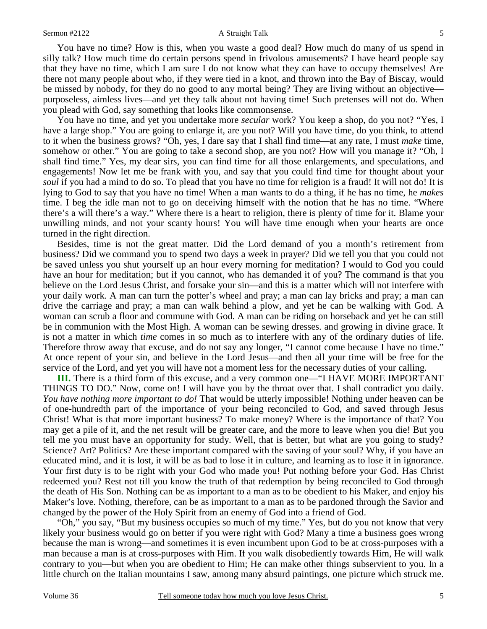You have no time? How is this, when you waste a good deal? How much do many of us spend in silly talk? How much time do certain persons spend in frivolous amusements? I have heard people say that they have no time, which I am sure I do not know what they can have to occupy themselves! Are there not many people about who, if they were tied in a knot, and thrown into the Bay of Biscay, would be missed by nobody, for they do no good to any mortal being? They are living without an objective purposeless, aimless lives—and yet they talk about not having time! Such pretenses will not do. When you plead with God, say something that looks like commonsense.

 You have no time, and yet you undertake more *secular* work? You keep a shop, do you not? "Yes, I have a large shop." You are going to enlarge it, are you not? Will you have time, do you think, to attend to it when the business grows? "Oh, yes, I dare say that I shall find time—at any rate, I must *make* time, somehow or other." You are going to take a second shop, are you not? How will you manage it? "Oh, I shall find time." Yes, my dear sirs, you can find time for all those enlargements, and speculations, and engagements! Now let me be frank with you, and say that you could find time for thought about your *soul* if you had a mind to do so. To plead that you have no time for religion is a fraud! It will not do! It is lying to God to say that you have no time! When a man wants to do a thing, if he has no time, he *makes* time. I beg the idle man not to go on deceiving himself with the notion that he has no time. "Where there's a will there's a way." Where there is a heart to religion, there is plenty of time for it. Blame your unwilling minds, and not your scanty hours! You will have time enough when your hearts are once turned in the right direction.

 Besides, time is not the great matter. Did the Lord demand of you a month's retirement from business? Did we command you to spend two days a week in prayer? Did we tell you that you could not be saved unless you shut yourself up an hour every morning for meditation? I would to God you could have an hour for meditation; but if you cannot, who has demanded it of you? The command is that you believe on the Lord Jesus Christ, and forsake your sin—and this is a matter which will not interfere with your daily work. A man can turn the potter's wheel and pray; a man can lay bricks and pray; a man can drive the carriage and pray; a man can walk behind a plow, and yet he can be walking with God. A woman can scrub a floor and commune with God. A man can be riding on horseback and yet he can still be in communion with the Most High. A woman can be sewing dresses. and growing in divine grace. It is not a matter in which *time* comes in so much as to interfere with any of the ordinary duties of life. Therefore throw away that excuse, and do not say any longer, "I cannot come because I have no time." At once repent of your sin, and believe in the Lord Jesus—and then all your time will be free for the service of the Lord, and yet you will have not a moment less for the necessary duties of your calling.

**III.** There is a third form of this excuse, and a very common one—"I HAVE MORE IMPORTANT THINGS TO DO." Now, come on! I will have you by the throat over that. I shall contradict you daily. *You have nothing more important to do!* That would be utterly impossible! Nothing under heaven can be of one-hundredth part of the importance of your being reconciled to God, and saved through Jesus Christ! What is that more important business? To make money? Where is the importance of that? You may get a pile of it, and the net result will be greater care, and the more to leave when you die! But you tell me you must have an opportunity for study. Well, that is better, but what are you going to study? Science? Art? Politics? Are these important compared with the saving of your soul? Why, if you have an educated mind, and it is lost, it will be as bad to lose it in culture, and learning as to lose it in ignorance. Your first duty is to be right with your God who made you! Put nothing before your God. Has Christ redeemed you? Rest not till you know the truth of that redemption by being reconciled to God through the death of His Son. Nothing can be as important to a man as to be obedient to his Maker, and enjoy his Maker's love. Nothing, therefore, can be as important to a man as to be pardoned through the Savior and changed by the power of the Holy Spirit from an enemy of God into a friend of God.

 "Oh," you say, "But my business occupies so much of my time." Yes, but do you not know that very likely your business would go on better if you were right with God? Many a time a business goes wrong because the man is wrong—and sometimes it is even incumbent upon God to be at cross-purposes with a man because a man is at cross-purposes with Him. If you walk disobediently towards Him, He will walk contrary to you—but when you are obedient to Him; He can make other things subservient to you. In a little church on the Italian mountains I saw, among many absurd paintings, one picture which struck me.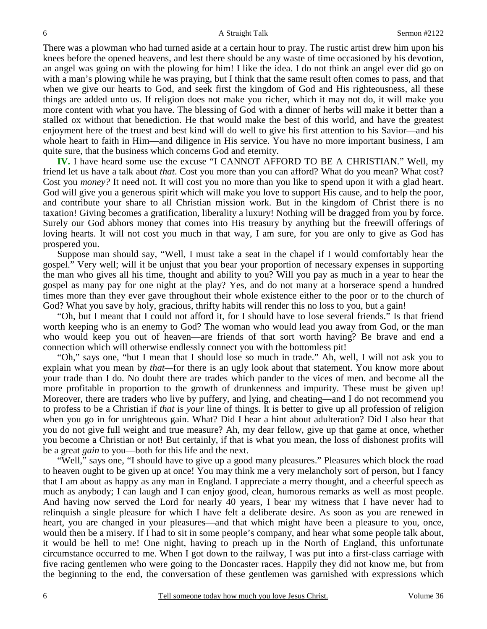There was a plowman who had turned aside at a certain hour to pray. The rustic artist drew him upon his knees before the opened heavens, and lest there should be any waste of time occasioned by his devotion, an angel was going on with the plowing for him! I like the idea. I do not think an angel ever did go on with a man's plowing while he was praying, but I think that the same result often comes to pass, and that when we give our hearts to God, and seek first the kingdom of God and His righteousness, all these things are added unto us. If religion does not make you richer, which it may not do, it will make you more content with what you have. The blessing of God with a dinner of herbs will make it better than a stalled ox without that benediction. He that would make the best of this world, and have the greatest enjoyment here of the truest and best kind will do well to give his first attention to his Savior—and his whole heart to faith in Him—and diligence in His service. You have no more important business, I am quite sure, that the business which concerns God and eternity.

**IV.** I have heard some use the excuse "I CANNOT AFFORD TO BE A CHRISTIAN." Well, my friend let us have a talk about *that*. Cost you more than you can afford? What do you mean? What cost? Cost you *money?* It need not. It will cost you no more than you like to spend upon it with a glad heart. God will give you a generous spirit which will make you love to support His cause, and to help the poor, and contribute your share to all Christian mission work. But in the kingdom of Christ there is no taxation! Giving becomes a gratification, liberality a luxury! Nothing will be dragged from you by force. Surely our God abhors money that comes into His treasury by anything but the freewill offerings of loving hearts. It will not cost you much in that way, I am sure, for you are only to give as God has prospered you.

 Suppose man should say, "Well, I must take a seat in the chapel if I would comfortably hear the gospel." Very well; will it be unjust that you bear your proportion of necessary expenses in supporting the man who gives all his time, thought and ability to you? Will you pay as much in a year to hear the gospel as many pay for one night at the play? Yes, and do not many at a horserace spend a hundred times more than they ever gave throughout their whole existence either to the poor or to the church of God? What you save by holy, gracious, thrifty habits will render this no loss to you, but a gain!

 "Oh, but I meant that I could not afford it, for I should have to lose several friends." Is that friend worth keeping who is an enemy to God? The woman who would lead you away from God, or the man who would keep you out of heaven—are friends of that sort worth having? Be brave and end a connection which will otherwise endlessly connect you with the bottomless pit!

 "Oh," says one, "but I mean that I should lose so much in trade." Ah, well, I will not ask you to explain what you mean by *that—*for there is an ugly look about that statement. You know more about your trade than I do. No doubt there are trades which pander to the vices of men. and become all the more profitable in proportion to the growth of drunkenness and impurity. These must be given up! Moreover, there are traders who live by puffery, and lying, and cheating—and I do not recommend you to profess to be a Christian if *that* is *your* line of things. It is better to give up all profession of religion when you go in for unrighteous gain. What? Did I hear a hint about adulteration? Did I also hear that you do not give full weight and true measure? Ah, my dear fellow, give up that game at once, whether you become a Christian or not! But certainly, if that is what you mean, the loss of dishonest profits will be a great *gain* to you—both for this life and the next.

 "Well," says one, "I should have to give up a good many pleasures." Pleasures which block the road to heaven ought to be given up at once! You may think me a very melancholy sort of person, but I fancy that I am about as happy as any man in England. I appreciate a merry thought, and a cheerful speech as much as anybody; I can laugh and I can enjoy good, clean, humorous remarks as well as most people. And having now served the Lord for nearly 40 years, I bear my witness that I have never had to relinquish a single pleasure for which I have felt a deliberate desire. As soon as you are renewed in heart, you are changed in your pleasures—and that which might have been a pleasure to you, once, would then be a misery. If I had to sit in some people's company, and hear what some people talk about, it would be hell to me! One night, having to preach up in the North of England, this unfortunate circumstance occurred to me. When I got down to the railway, I was put into a first-class carriage with five racing gentlemen who were going to the Doncaster races. Happily they did not know me, but from the beginning to the end, the conversation of these gentlemen was garnished with expressions which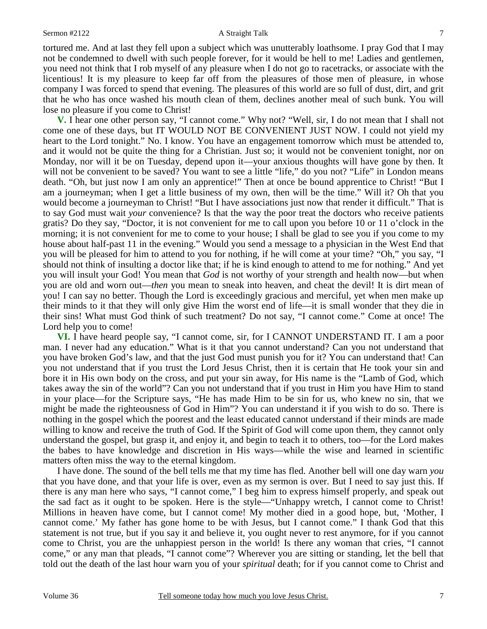tortured me. And at last they fell upon a subject which was unutterably loathsome. I pray God that I may not be condemned to dwell with such people forever, for it would be hell to me! Ladies and gentlemen, you need not think that I rob myself of any pleasure when I do not go to racetracks, or associate with the licentious! It is my pleasure to keep far off from the pleasures of those men of pleasure, in whose company I was forced to spend that evening. The pleasures of this world are so full of dust, dirt, and grit that he who has once washed his mouth clean of them, declines another meal of such bunk. You will lose no pleasure if you come to Christ!

**V.** I hear one other person say, "I cannot come." Why not? "Well, sir, I do not mean that I shall not come one of these days, but IT WOULD NOT BE CONVENIENT JUST NOW. I could not yield my heart to the Lord tonight." No. I know. You have an engagement tomorrow which must be attended to, and it would not be quite the thing for a Christian. Just so; it would not be convenient tonight, nor on Monday, nor will it be on Tuesday, depend upon it—your anxious thoughts will have gone by then. It will not be convenient to be saved? You want to see a little "life," do you not? "Life" in London means death. "Oh, but just now I am only an apprentice!" Then at once be bound apprentice to Christ! "But I am a journeyman; when I get a little business of my own, then will be the time." Will it? Oh that you would become a journeyman to Christ! "But I have associations just now that render it difficult." That is to say God must wait *your* convenience? Is that the way the poor treat the doctors who receive patients gratis? Do they say, "Doctor, it is not convenient for me to call upon you before 10 or 11 o'clock in the morning; it is not convenient for me to come to your house; I shall be glad to see you if you come to my house about half-past 11 in the evening." Would you send a message to a physician in the West End that you will be pleased for him to attend to you for nothing, if he will come at your time? "Oh," you say, "I should not think of insulting a doctor like that; if he is kind enough to attend to me for nothing." And yet you will insult your God! You mean that *God* is not worthy of your strength and health now—but when you are old and worn out—*then* you mean to sneak into heaven, and cheat the devil! It is dirt mean of you! I can say no better. Though the Lord is exceedingly gracious and merciful, yet when men make up their minds to it that they will only give Him the worst end of life—it is small wonder that they die in their sins! What must God think of such treatment? Do not say, "I cannot come." Come at once! The Lord help you to come!

**VI.** I have heard people say, "I cannot come, sir, for I CANNOT UNDERSTAND IT. I am a poor man. I never had any education." What is it that you cannot understand? Can you not understand that you have broken God's law, and that the just God must punish you for it? You can understand that! Can you not understand that if you trust the Lord Jesus Christ, then it is certain that He took your sin and bore it in His own body on the cross, and put your sin away, for His name is the "Lamb of God, which takes away the sin of the world"? Can you not understand that if you trust in Him you have Him to stand in your place—for the Scripture says, "He has made Him to be sin for us, who knew no sin, that we might be made the righteousness of God in Him"? You can understand it if you wish to do so. There is nothing in the gospel which the poorest and the least educated cannot understand if their minds are made willing to know and receive the truth of God. If the Spirit of God will come upon them, they cannot only understand the gospel, but grasp it, and enjoy it, and begin to teach it to others, too—for the Lord makes the babes to have knowledge and discretion in His ways—while the wise and learned in scientific matters often miss the way to the eternal kingdom.

 I have done. The sound of the bell tells me that my time has fled. Another bell will one day warn *you*  that you have done, and that your life is over, even as my sermon is over. But I need to say just this. If there is any man here who says, "I cannot come," I beg him to express himself properly, and speak out the sad fact as it ought to be spoken. Here is the style—"Unhappy wretch, I cannot come to Christ! Millions in heaven have come, but I cannot come! My mother died in a good hope, but, 'Mother, I cannot come.' My father has gone home to be with Jesus, but I cannot come." I thank God that this statement is not true, but if you say it and believe it, you ought never to rest anymore, for if you cannot come to Christ, you are the unhappiest person in the world! Is there any woman that cries, "I cannot come," or any man that pleads, "I cannot come"? Wherever you are sitting or standing, let the bell that told out the death of the last hour warn you of your *spiritual* death; for if you cannot come to Christ and